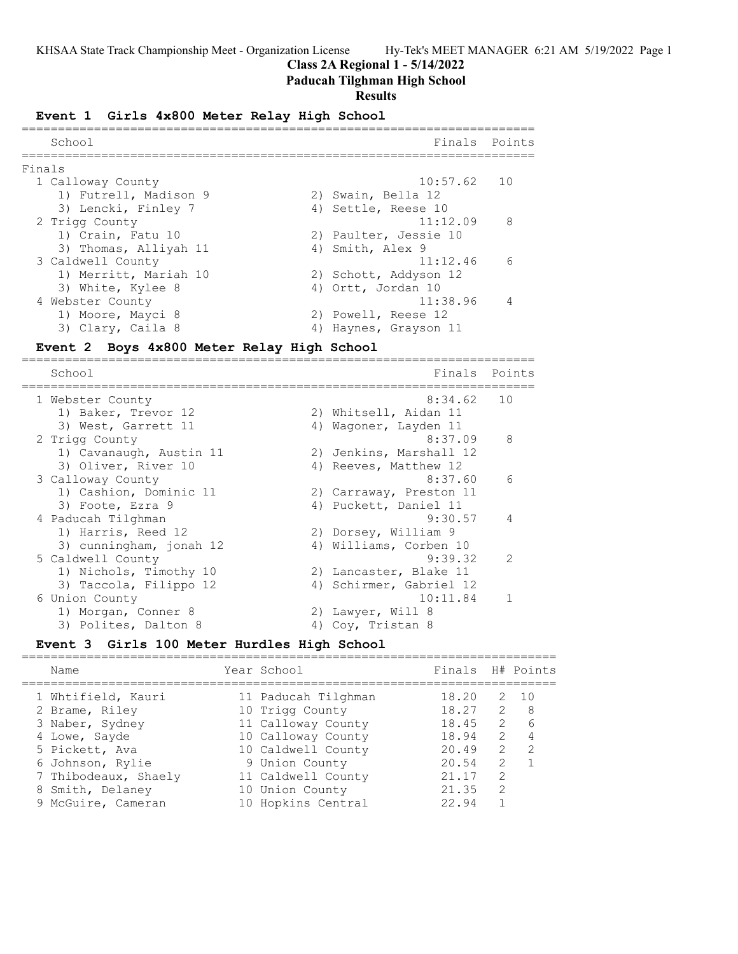## **Class 2A Regional 1 - 5/14/2022**

## **Paducah Tilghman High School**

#### **Results**

#### **Event 1 Girls 4x800 Meter Relay High School**

|        | School                | Finals Points         |                          |
|--------|-----------------------|-----------------------|--------------------------|
| Finals |                       |                       |                          |
|        | 1 Calloway County     | $10:57.62$ 10         |                          |
|        | 1) Futrell, Madison 9 | 2) Swain, Bella 12    |                          |
|        | 3) Lencki, Finley 7   | 4) Settle, Reese 10   |                          |
|        | 2 Trigg County        | 11:12.09              | $\overline{\phantom{a}}$ |
|        | 1) Crain, Fatu 10     | 2) Paulter, Jessie 10 |                          |
|        | 3) Thomas, Alliyah 11 | 4) Smith, Alex 9      |                          |
|        | 3 Caldwell County     | 11:12.46              | $\epsilon$               |
|        | 1) Merritt, Mariah 10 | 2) Schott, Addyson 12 |                          |
|        | 3) White, Kylee 8     | 4) Ortt, Jordan 10    |                          |
|        | 4 Webster County      | 11:38.96              |                          |
|        | 1) Moore, Mayci 8     | 2) Powell, Reese 12   |                          |
|        | 3) Clary, Caila 8     | 4) Haynes, Grayson 11 |                          |

## **Event 2 Boys 4x800 Meter Relay High School**

======================================================================= Finals Points ======================================================================= 1 Webster County 1) Baker, Trevor 12 2) Whitsell, Aidan 11 3) West, Garrett 11 4) Wagoner, Layden 11 2 Trigg County 8:37.09 8 1) Cavanaugh, Austin 11 2) Jenkins, Marshall 12 3) Oliver, River 10 4) Reeves, Matthew 12 3 Calloway County 8:37.60 6 1) Cashion, Dominic 11 2) Carraway, Preston 11 3) Foote, Ezra 9 4) Puckett, Daniel 11 4 Paducah Tilghman 9:30.57 4 1) Harris, Reed 12 2) Dorsey, William 9 3) cunningham, jonah 12 4) Williams, Corben 10 5 Caldwell County 9:39.32 2 1) Nichols, Timothy 10 2) Lancaster, Blake 11 3) Taccola, Filippo 12 4) Schirmer, Gabriel 12 6 Union County 10:11.84 1 1) Morgan, Conner 8 2) Lawyer, Will 8 3) Polites, Dalton 8 4) Coy, Tristan 8

#### **Event 3 Girls 100 Meter Hurdles High School** ==========================================================================

| Name                 | Year School         | Finals H# Points |               |                |
|----------------------|---------------------|------------------|---------------|----------------|
| 1 Whtifield, Kauri   | 11 Paducah Tilghman | 18.20            |               | 2 10           |
| 2 Brame, Riley       | 10 Trigg County     | 18.27            | 2             | - 8            |
| 3 Naber, Sydney      | 11 Calloway County  | 18.45            | 2             | 6              |
| 4 Lowe, Sayde        | 10 Calloway County  | 18.94            | $\mathcal{L}$ | $\overline{4}$ |
| 5 Pickett, Ava       | 10 Caldwell County  | 20.49            | 2             | $\mathcal{P}$  |
| 6 Johnson, Rylie     | 9 Union County      | 20.54            | $\mathcal{L}$ |                |
| 7 Thibodeaux, Shaely | 11 Caldwell County  | 21.17            | $\mathcal{L}$ |                |
| 8 Smith, Delaney     | 10 Union County     | 21.35            | $\mathcal{L}$ |                |
| 9 McGuire, Cameran   | 10 Hopkins Central  | 22.94            |               |                |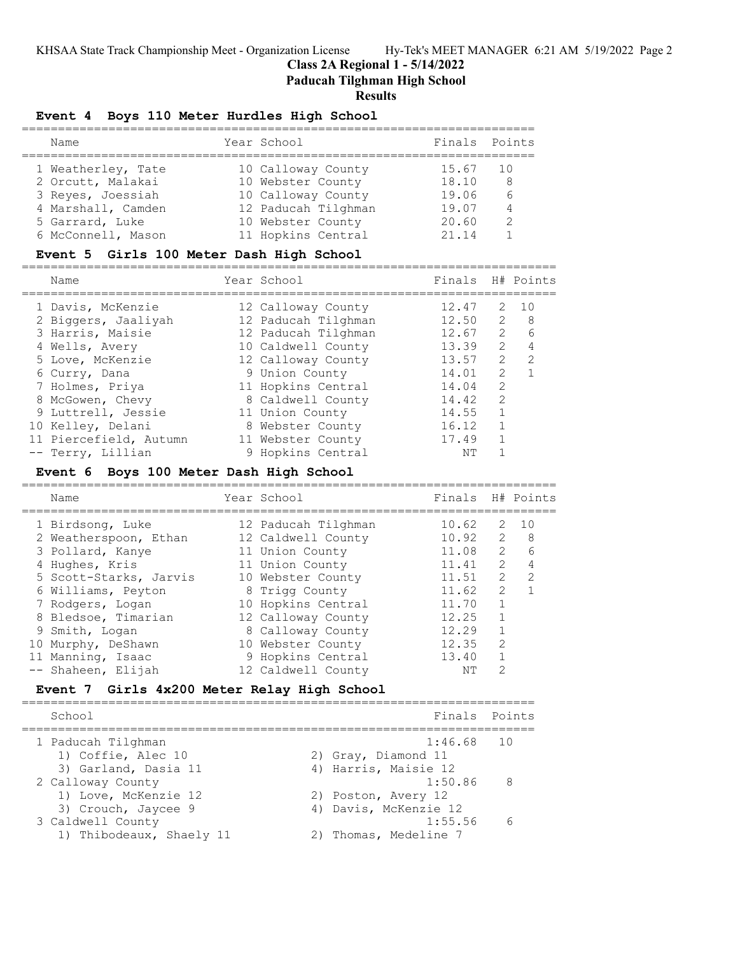**Class 2A Regional 1 - 5/14/2022**

**Paducah Tilghman High School**

# **Results**

# **Event 4 Boys 110 Meter Hurdles High School**

| Name               | Year School         | Finals Points |     |
|--------------------|---------------------|---------------|-----|
| 1 Weatherley, Tate | 10 Calloway County  | 15.67         | 1 O |
| 2 Orcutt, Malakai  | 10 Webster County   | 18.10         | -8  |
| 3 Reves, Joessiah  | 10 Calloway County  | 19.06         | 6   |
| 4 Marshall, Camden | 12 Paducah Tilghman | 19.07         | 4   |
| 5 Garrard, Luke    | 10 Webster County   | 20.60         | 2   |
| 6 McConnell, Mason | 11 Hopkins Central  | 21.14         |     |

# **Event 5 Girls 100 Meter Dash High School**

| Name                   | Year School         | Finals H# Points |               |                 |
|------------------------|---------------------|------------------|---------------|-----------------|
| 1 Davis, McKenzie      | 12 Calloway County  | 12.47            | 2             | 10              |
| 2 Biggers, Jaaliyah    | 12 Paducah Tilghman | 12.50            | 2             | - 8             |
| 3 Harris, Maisie       | 12 Paducah Tilghman | 12.67            | 2             | $6\overline{6}$ |
| 4 Wells, Avery         | 10 Caldwell County  | 13.39            | $\mathcal{L}$ |                 |
| 5 Love, McKenzie       | 12 Calloway County  | 13.57            | $\mathcal{P}$ | $\overline{2}$  |
| 6 Curry, Dana          | 9 Union County      | 14.01            | $\mathcal{L}$ |                 |
| 7 Holmes, Priya        | 11 Hopkins Central  | 14.04            | $\mathcal{L}$ |                 |
| 8 McGowen, Chevy       | 8 Caldwell County   | 14.42            | $\mathcal{L}$ |                 |
| 9 Luttrell, Jessie     | 11 Union County     | 14.55            |               |                 |
| 10 Kelley, Delani      | 8 Webster County    | 16.12            |               |                 |
| 11 Piercefield, Autumn | 11 Webster County   | 17.49            |               |                 |
| -- Terry, Lillian      | 9 Hopkins Central   | NΤ               |               |                 |

# **Event 6 Boys 100 Meter Dash High School**

| Name                   | Year School         | Finals H# Points |               |               |
|------------------------|---------------------|------------------|---------------|---------------|
| 1 Birdsong, Luke       | 12 Paducah Tilghman | 10.62            | 2             | $\sqrt{10}$   |
| 2 Weatherspoon, Ethan  | 12 Caldwell County  | 10.92            | 2             | - 8           |
| 3 Pollard, Kanye       | 11 Union County     | 11.08            | $\mathcal{L}$ | 6             |
| 4 Hughes, Kris         | 11 Union County     | 11.41            | $\mathcal{L}$ | 4             |
| 5 Scott-Starks, Jarvis | 10 Webster County   | 11.51            | $\mathcal{L}$ | $\mathcal{D}$ |
| 6 Williams, Peyton     | 8 Trigg County      | 11.62            | $\mathcal{L}$ |               |
| 7 Rodgers, Logan       | 10 Hopkins Central  | 11.70            |               |               |
| 8 Bledsoe, Timarian    | 12 Calloway County  | 12.25            |               |               |
| 9 Smith, Logan         | 8 Calloway County   | 12.29            |               |               |
| 10 Murphy, DeShawn     | 10 Webster County   | 12.35            | $\mathcal{P}$ |               |
| 11 Manning, Isaac      | 9 Hopkins Central   | 13.40            |               |               |
| -- Shaheen, Elijah     | 12 Caldwell County  | NΤ               | 2             |               |

# **Event 7 Girls 4x200 Meter Relay High School**

| School                                                               | Finals Points                                               |   |
|----------------------------------------------------------------------|-------------------------------------------------------------|---|
| 1 Paducah Tilghman<br>1) Coffie, Alec 10<br>3) Garland, Dasia 11     | $1:46.68$ 10<br>2) Gray, Diamond 11<br>4) Harris, Maisie 12 |   |
| 2 Calloway County<br>1) Love, McKenzie 12                            | $1:50.86$ 8<br>2) Poston, Avery 12                          |   |
| 3) Crouch, Jaycee 9<br>3 Caldwell County<br>1) Thibodeaux, Shaely 11 | 4) Davis, McKenzie 12<br>1:55.56<br>Thomas, Medeline 7      | 6 |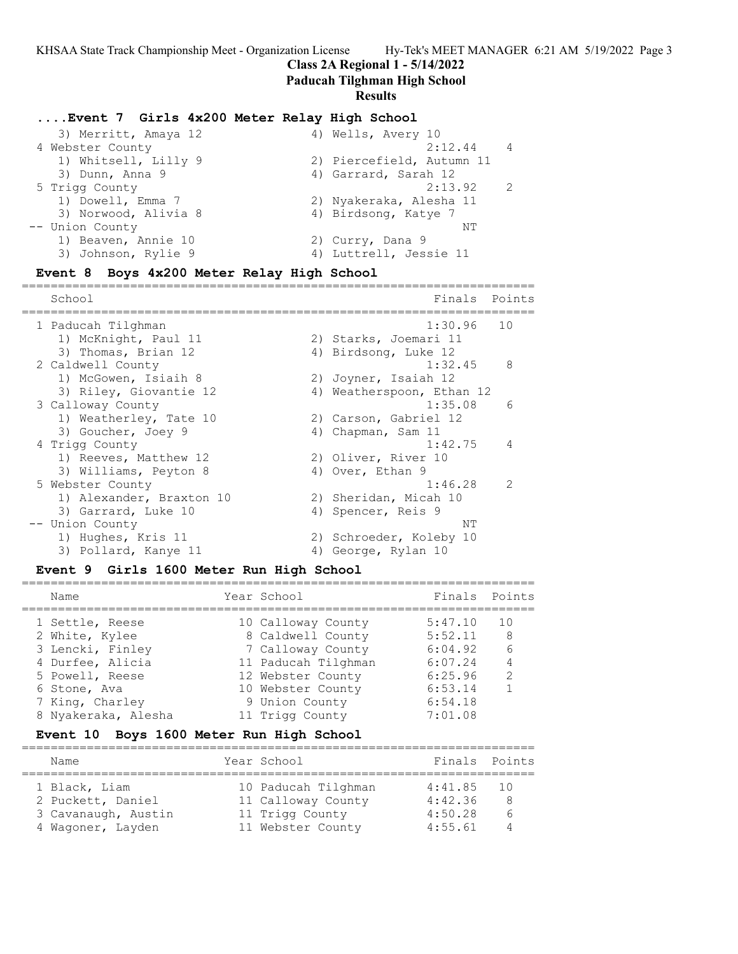# **Class 2A Regional 1 - 5/14/2022**

=======================================================================

# **Paducah Tilghman High School**

## **Results**

# **....Event 7 Girls 4x200 Meter Relay High School**

| 3) Merritt, Amaya 12 | 4) Wells, Avery 10        |                |
|----------------------|---------------------------|----------------|
| 4 Webster County     | 2:12.44                   | $\overline{4}$ |
| 1) Whitsell, Lilly 9 | 2) Piercefield, Autumn 11 |                |
| 3) Dunn, Anna 9      | 4) Garrard, Sarah 12      |                |
| 5 Trigg County       | 2:13.92                   | $\mathcal{P}$  |
| 1) Dowell, Emma 7    | 2) Nyakeraka, Alesha 11   |                |
| 3) Norwood, Alivia 8 | 4) Birdsong, Katye 7      |                |
| -- Union County      | NΤ                        |                |
| 1) Beaven, Annie 10  | 2) Curry, Dana 9          |                |
| 3) Johnson, Rylie 9  | 4) Luttrell, Jessie 11    |                |
|                      |                           |                |

# **Event 8 Boys 4x200 Meter Relay High School**

| School<br>Finals                                    | Points        |
|-----------------------------------------------------|---------------|
| 1:30.96<br>10<br>1 Paducah Tilghman                 |               |
| 1) McKnight, Paul 11<br>2) Starks, Joemari 11       |               |
| 3) Thomas, Brian 12<br>4) Birdsong, Luke 12         |               |
| 8<br>1:32.45<br>2 Caldwell County                   |               |
| 1) McGowen, Isiaih 8<br>2) Joyner, Isaiah 12        |               |
| 3) Riley, Giovantie 12<br>4) Weatherspoon, Ethan 12 |               |
| 1:35.08<br>3 Calloway County                        | 6             |
| 2) Carson, Gabriel 12<br>1) Weatherley, Tate 10     |               |
| 3) Goucher, Joey 9<br>Chapman, Sam 11<br>4)         |               |
| 1:42.75<br>4 Trigg County                           | 4             |
| 2) Oliver, River 10<br>1) Reeves, Matthew 12        |               |
| 4) Over, Ethan 9<br>3) Williams, Peyton 8           |               |
| 1:46.28<br>5 Webster County                         | $\mathcal{P}$ |
| 1) Alexander, Braxton 10<br>2) Sheridan, Micah 10   |               |
| 3) Garrard, Luke 10<br>4)<br>Spencer, Reis 9        |               |
| -- Union County<br>NΤ                               |               |
| 1) Hughes, Kris 11<br>2) Schroeder, Koleby 10       |               |
| 3) Pollard, Kanye 11<br>George, Rylan 10<br>4)      |               |

# **Event 9 Girls 1600 Meter Run High School**

| Name                | Year School         | Finals Points |                |
|---------------------|---------------------|---------------|----------------|
| 1 Settle, Reese     | 10 Calloway County  | 5:47.10       | 10             |
| 2 White, Kylee      | 8 Caldwell County   | 5:52.11       | - 8            |
| 3 Lencki, Finley    | 7 Calloway County   | 6:04.92       | - 6            |
| 4 Durfee, Alicia    | 11 Paducah Tilghman | 6:07.24       | $\overline{4}$ |
| 5 Powell, Reese     | 12 Webster County   | 6:25.96       | 2              |
| 6 Stone, Ava        | 10 Webster County   | 6:53.14       |                |
| 7 King, Charley     | 9 Union County      | 6:54.18       |                |
| 8 Nyakeraka, Alesha | 11 Trigg County     | 7:01.08       |                |

# **Event 10 Boys 1600 Meter Run High School**

| Name                                                                           | Year School                                                                       | Finals Points                            |                           |
|--------------------------------------------------------------------------------|-----------------------------------------------------------------------------------|------------------------------------------|---------------------------|
| 1 Black, Liam<br>2 Puckett, Daniel<br>3 Cavanaugh, Austin<br>4 Wagoner, Layden | 10 Paducah Tilghman<br>11 Calloway County<br>11 Trigg County<br>11 Webster County | 4:41.85<br>4:42.36<br>4:50.28<br>4:55.61 | $\overline{10}$<br>8<br>6 |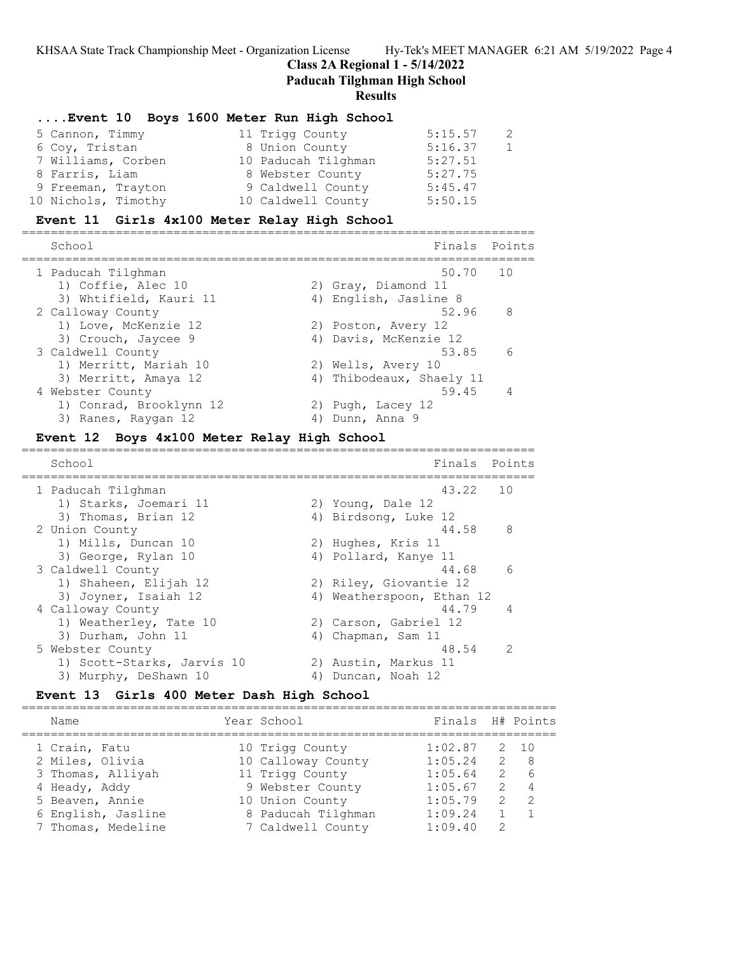**Class 2A Regional 1 - 5/14/2022**

**Paducah Tilghman High School**

=======================================================================

#### **Results**

## **....Event 10 Boys 1600 Meter Run High School**

| 5 Cannon, Timmy     | 11 Trigg County     | 5:15.57 | - 2 |
|---------------------|---------------------|---------|-----|
| 6 Coy, Tristan      | 8 Union County      | 5:16.37 | 1   |
| 7 Williams, Corben  | 10 Paducah Tilghman | 5:27.51 |     |
| 8 Farris, Liam      | 8 Webster County    | 5:27.75 |     |
| 9 Freeman, Trayton  | 9 Caldwell County   | 5:45.47 |     |
| 10 Nichols, Timothy | 10 Caldwell County  | 5:50.15 |     |

## **Event 11 Girls 4x100 Meter Relay High School**

======================================================================= Finals Points ======================================================================= 1 Paducah Tilghman 50.70 10 1) Coffie, Alec 10 2) Gray, Diamond 11 3) Whtifield, Kauri 11 4) English, Jasline 8 2 Calloway County 52.96 8 1) Love, McKenzie 12 2) Poston, Avery 12 3) Crouch, Jaycee 9 4) Davis, McKenzie 12 3 Caldwell County 53.85 6 1) Merritt, Mariah 10  $\hskip1cm$  2) Wells, Avery 10 3) Merritt, Amaya 12 4) Thibodeaux, Shaely 11 4 Webster County 59.45 4 1) Conrad, Brooklynn 12 12 2) Pugh, Lacey 12 3) Ranes, Raygan 12 (4) Anna 9

## **Event 12 Boys 4x100 Meter Relay High School**

| School                     | Finals                    | Points         |
|----------------------------|---------------------------|----------------|
| 1 Paducah Tilghman         | 43.22                     | 10             |
| 1) Starks, Joemari 11      | 2) Young, Dale 12         |                |
| 3) Thomas, Brian 12        | 4) Birdsong, Luke 12      |                |
| 2 Union County             | 44.58                     | - 8            |
| 1) Mills, Duncan 10        | 2) Hughes, Kris 11        |                |
| 3) George, Rylan 10        | 4) Pollard, Kanye 11      |                |
| 3 Caldwell County          | 44.68                     | -6             |
| 1) Shaheen, Elijah 12      | 2) Riley, Giovantie 12    |                |
| 3) Joyner, Isaiah 12       | 4) Weatherspoon, Ethan 12 |                |
| 4 Calloway County          | 44.79                     | $\overline{4}$ |
| 1) Weatherley, Tate 10     | 2) Carson, Gabriel 12     |                |
| 3) Durham, John 11         | 4) Chapman, Sam 11        |                |
| 5 Webster County           | 48.54                     | $\overline{2}$ |
| 1) Scott-Starks, Jarvis 10 | 2) Austin, Markus 11      |                |
| 3) Murphy, DeShawn 10      | 4) Duncan, Noah 12        |                |

## **Event 13 Girls 400 Meter Dash High School**

| Name                                     | Year School                             | Finals H# Points   |                    |                                  |
|------------------------------------------|-----------------------------------------|--------------------|--------------------|----------------------------------|
| 1 Crain, Fatu<br>2 Miles, Olivia         | 10 Trigg County<br>10 Calloway County   | 1:02.87<br>1:05.24 | 2 10               | 2 8                              |
| 3 Thomas, Alliyah                        | 11 Trigg County                         | 1:05.64            |                    | 2 6                              |
| 4 Heady, Addy<br>5 Beaven, Annie         | 9 Webster County<br>10 Union County     | 1:05.67<br>1:05.79 | 2<br>$\mathcal{P}$ | $\overline{4}$<br>$\overline{2}$ |
| 6 English, Jasline<br>7 Thomas, Medeline | 8 Paducah Tilghman<br>7 Caldwell County | 1:09.24<br>1:09.40 | 2                  |                                  |
|                                          |                                         |                    |                    |                                  |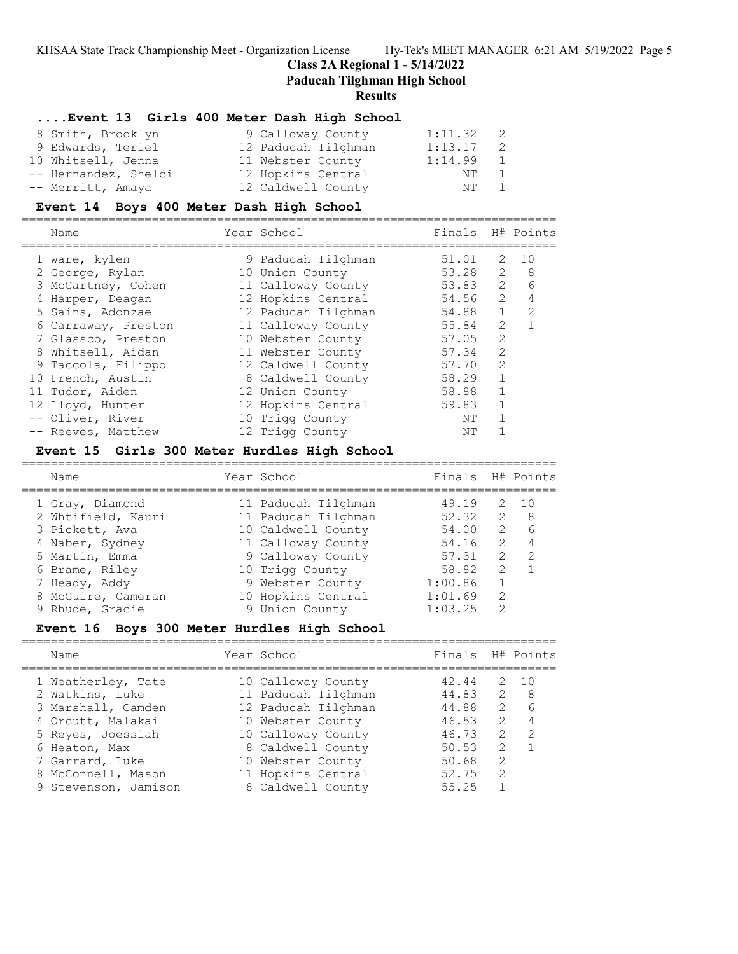==========================================================================

**Class 2A Regional 1 - 5/14/2022**

**Paducah Tilghman High School**

**Results**

# **....Event 13 Girls 400 Meter Dash High School**

| 8 Smith, Brooklyn    | 9 Calloway County   | 1:11.32 | - 2            |
|----------------------|---------------------|---------|----------------|
| 9 Edwards, Teriel    | 12 Paducah Tilghman | 1:13.17 | -2             |
| 10 Whitsell, Jenna   | 11 Webster County   | 1:14.99 | 1              |
| -- Hernandez, Shelci | 12 Hopkins Central  | NT.     | $\overline{1}$ |
| -- Merritt, Amaya    | 12 Caldwell County  | NT 1    |                |

# **Event 14 Boys 400 Meter Dash High School**

| Name                | Year School         | Finals H# Points |               |                |
|---------------------|---------------------|------------------|---------------|----------------|
| 1 ware, kylen       | 9 Paducah Tilghman  | 51.01            | 2             | 1 O            |
| 2 George, Rylan     | 10 Union County     | 53.28            | $\mathcal{L}$ | 8              |
| 3 McCartney, Cohen  | 11 Calloway County  | 53.83            | $2^{\circ}$   | 6              |
| 4 Harper, Deagan    | 12 Hopkins Central  | 54.56            | 2             | $\overline{4}$ |
| 5 Sains, Adonzae    | 12 Paducah Tilghman | 54.88            | $\mathbf{1}$  | $\mathcal{L}$  |
| 6 Carraway, Preston | 11 Calloway County  | 55.84            | 2             |                |
| 7 Glassco, Preston  | 10 Webster County   | 57.05            | 2             |                |
| 8 Whitsell, Aidan   | 11 Webster County   | 57.34            | $\mathcal{L}$ |                |
| 9 Taccola, Filippo  | 12 Caldwell County  | 57.70            | $\mathcal{L}$ |                |
| 10 French, Austin   | 8 Caldwell County   | 58.29            |               |                |
| 11 Tudor, Aiden     | 12 Union County     | 58.88            |               |                |
| 12 Lloyd, Hunter    | 12 Hopkins Central  | 59.83            |               |                |
| -- Oliver, River    | 10 Trigg County     | NΤ               |               |                |
| -- Reeves, Matthew  | 12 Trigg County     | NΤ               |               |                |

# **Event 15 Girls 300 Meter Hurdles High School**

| Name                              | Year School                              | Finals H# Points |               |                      |
|-----------------------------------|------------------------------------------|------------------|---------------|----------------------|
| 1 Gray, Diamond                   | 11 Paducah Tilghman                      | 49.19            |               | 2 10                 |
| 2 Whtifield, Kauri                | 11 Paducah Tilghman                      | 52.32            |               | 2 8                  |
| 3 Pickett, Ava<br>4 Naber, Sydney | 10 Caldwell County<br>11 Calloway County | 54.00<br>54.16   | 2             | $2\overline{6}$<br>4 |
| 5 Martin, Emma                    | 9 Calloway County                        | 57.31            | 2             | $\mathcal{P}$        |
| 6 Brame, Riley                    | 10 Trigg County                          | 58.82            | $\mathcal{L}$ |                      |
| 7 Heady, Addy                     | 9 Webster County                         | 1:00.86          |               |                      |
| 8 McGuire, Cameran                | 10 Hopkins Central                       | 1:01.69          | $\mathcal{P}$ |                      |
| 9 Rhude, Gracie                   | 9 Union County                           | 1:03.25          | $\mathcal{P}$ |                      |

# **Event 16 Boys 300 Meter Hurdles High School**

| Name                                                                                                                                                            | Year School                                                                                                                                                                 | Finals H# Points                                                     |                                                                                            |                                                      |
|-----------------------------------------------------------------------------------------------------------------------------------------------------------------|-----------------------------------------------------------------------------------------------------------------------------------------------------------------------------|----------------------------------------------------------------------|--------------------------------------------------------------------------------------------|------------------------------------------------------|
| 1 Weatherley, Tate<br>2 Watkins, Luke<br>3 Marshall, Camden<br>4 Orcutt, Malakai<br>5 Reves, Joessiah<br>6 Heaton, Max<br>7 Garrard, Luke<br>8 McConnell, Mason | 10 Calloway County<br>11 Paducah Tilghman<br>12 Paducah Tilghman<br>10 Webster County<br>10 Calloway County<br>8 Caldwell County<br>10 Webster County<br>11 Hopkins Central | 42.44<br>44.83<br>44.88<br>46.53<br>46.73<br>50.53<br>50.68<br>52.75 | $\overline{2}$<br>$2^{\circ}$<br>2<br>2<br>$\mathcal{P}$<br>$\mathcal{L}$<br>$\mathcal{L}$ | 2 10<br>- 8<br>6<br>$\overline{4}$<br>$\overline{2}$ |
| 9 Stevenson, Jamison                                                                                                                                            | 8 Caldwell County                                                                                                                                                           | 55.25                                                                |                                                                                            |                                                      |
|                                                                                                                                                                 |                                                                                                                                                                             |                                                                      |                                                                                            |                                                      |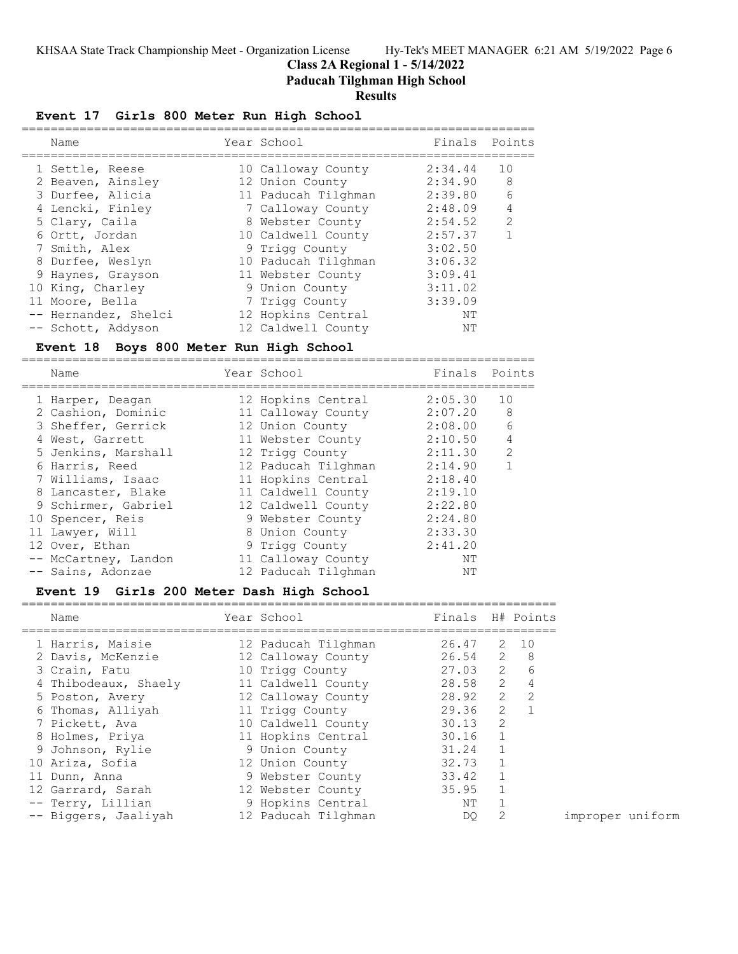==========================================================================

**Class 2A Regional 1 - 5/14/2022**

**Paducah Tilghman High School**

# **Results**

# **Event 17 Girls 800 Meter Run High School**

| Name                 | Year School         | Finals Points |                |
|----------------------|---------------------|---------------|----------------|
| 1 Settle, Reese      | 10 Calloway County  | 2:34.44       | 10             |
| 2 Beaven, Ainsley    | 12 Union County     | 2:34.90       | 8              |
| 3 Durfee, Alicia     | 11 Paducah Tilghman | 2:39.80       | 6              |
| 4 Lencki, Finley     | 7 Calloway County   | 2:48.09       | $\overline{4}$ |
| 5 Clary, Caila       | 8 Webster County    | 2:54.52       | 2              |
| 6 Ortt, Jordan       | 10 Caldwell County  | 2:57.37       |                |
| 7 Smith, Alex        | 9 Trigg County      | 3:02.50       |                |
| 8 Durfee, Weslyn     | 10 Paducah Tilghman | 3:06.32       |                |
| 9 Haynes, Grayson    | 11 Webster County   | 3:09.41       |                |
| 10 King, Charley     | 9 Union County      | 3:11.02       |                |
| 11 Moore, Bella      | 7 Trigg County      | 3:39.09       |                |
| -- Hernandez, Shelci | 12 Hopkins Central  | NΤ            |                |
| -- Schott, Addyson   | 12 Caldwell County  | ΝT            |                |

# **Event 18 Boys 800 Meter Run High School**

| Name                 | Year School         | Finals  | Points         |
|----------------------|---------------------|---------|----------------|
| 1 Harper, Deagan     | 12 Hopkins Central  | 2:05.30 | 10             |
| 2 Cashion, Dominic   | 11 Calloway County  | 2:07.20 | 8              |
| 3 Sheffer, Gerrick   | 12 Union County     | 2:08.00 | 6              |
| 4 West, Garrett      | 11 Webster County   | 2:10.50 | $\overline{4}$ |
| 5 Jenkins, Marshall  | 12 Trigg County     | 2:11.30 | $\mathcal{P}$  |
| 6 Harris, Reed       | 12 Paducah Tilghman | 2:14.90 |                |
| 7 Williams, Isaac    | 11 Hopkins Central  | 2:18.40 |                |
| 8 Lancaster, Blake   | 11 Caldwell County  | 2:19.10 |                |
| 9 Schirmer, Gabriel  | 12 Caldwell County  | 2:22.80 |                |
| 10 Spencer, Reis     | 9 Webster County    | 2:24.80 |                |
| 11 Lawyer, Will      | 8 Union County      | 2:33.30 |                |
| 12 Over, Ethan       | 9 Trigg County      | 2:41.20 |                |
| -- McCartney, Landon | 11 Calloway County  | NΤ      |                |
| -- Sains, Adonzae    | 12 Paducah Tilghman | NΤ      |                |

# **Event 19 Girls 200 Meter Dash High School**

| Name                 | Year School         | Finals H# Points |                |                  |
|----------------------|---------------------|------------------|----------------|------------------|
| 1 Harris, Maisie     | 12 Paducah Tilghman | 26.47            | 2              | 10               |
| 2 Davis, McKenzie    | 12 Calloway County  | 26.54            |                | $2 \quad 8$      |
| 3 Crain, Fatu        | 10 Trigg County     | 27.03            |                | $2^{\circ}$<br>6 |
| 4 Thibodeaux, Shaely | 11 Caldwell County  | 28.58            | $\overline{2}$ | $\overline{4}$   |
| 5 Poston, Avery      | 12 Calloway County  | 28.92            | $\mathbf{2}$   | 2                |
| 6 Thomas, Alliyah    | 11 Trigg County     | 29.36            | $\overline{2}$ |                  |
| 7 Pickett, Ava       | 10 Caldwell County  | 30.13            | 2              |                  |
| 8 Holmes, Priya      | 11 Hopkins Central  | 30.16            |                |                  |
| 9 Johnson, Rylie     | 9 Union County      | 31.24            |                |                  |
| 10 Ariza, Sofia      | 12 Union County     | 32.73            |                |                  |
| 11 Dunn, Anna        | 9 Webster County    | 33.42            |                |                  |
| 12 Garrard, Sarah    | 12 Webster County   | 35.95            |                |                  |
| -- Terry, Lillian    | 9 Hopkins Central   | ΝT               |                |                  |
| -- Biggers, Jaaliyah | 12 Paducah Tilghman | DO               |                |                  |

improper uniform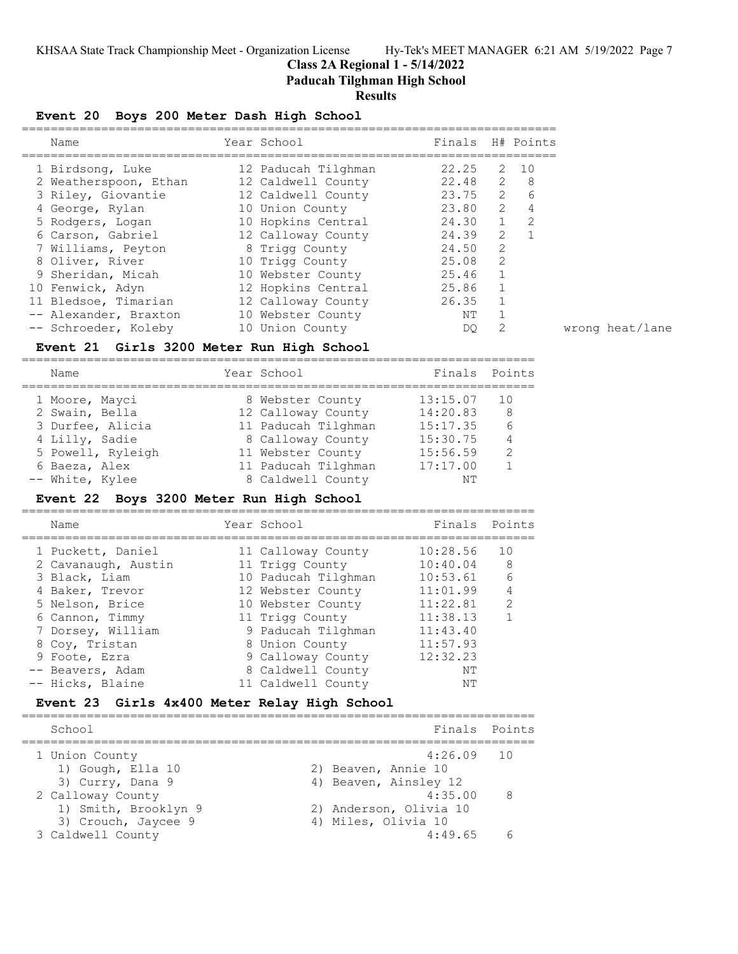**Class 2A Regional 1 - 5/14/2022**

**Paducah Tilghman High School**

# **Results**

# **Event 20 Boys 200 Meter Dash High School**

| Name                  | Year School         | Finals H# Points |               |                |
|-----------------------|---------------------|------------------|---------------|----------------|
| 1 Birdsong, Luke      | 12 Paducah Tilghman | 22.25            | 2             | 10             |
| 2 Weatherspoon, Ethan | 12 Caldwell County  | 22.48            | 2             | - 8            |
| 3 Riley, Giovantie    | 12 Caldwell County  | 23.75            | 2             | 6              |
| 4 George, Rylan       | 10 Union County     | 23.80            | $\mathcal{L}$ | $\overline{4}$ |
| 5 Rodgers, Logan      | 10 Hopkins Central  | 24.30            | $\mathbf{1}$  | $\mathcal{L}$  |
| 6 Carson, Gabriel     | 12 Calloway County  | 24.39            | 2             |                |
| 7 Williams, Peyton    | 8 Trigg County      | 24.50            | 2             |                |
| 8 Oliver, River       | 10 Trigg County     | 25.08            | $\mathcal{L}$ |                |
| 9 Sheridan, Micah     | 10 Webster County   | 25.46            | 1             |                |
| 10 Fenwick, Adyn      | 12 Hopkins Central  | 25.86            | 1             |                |
| 11 Bledsoe, Timarian  | 12 Calloway County  | 26.35            |               |                |
| -- Alexander, Braxton | 10 Webster County   | ΝT               |               |                |
| -- Schroeder, Koleby  | 10 Union County     | DO.              | 2             |                |

# **Event 21 Girls 3200 Meter Run High School**

| Name              | Year School         | Finals Points |               |
|-------------------|---------------------|---------------|---------------|
| 1 Moore, Mayci    | 8 Webster County    | 13:15.07      | 1 O           |
| 2 Swain, Bella    | 12 Calloway County  | 14:20.83      | 8             |
| 3 Durfee, Alicia  | 11 Paducah Tilghman | 15:17.35      | 6             |
| 4 Lilly, Sadie    | 8 Calloway County   | 15:30.75      |               |
| 5 Powell, Ryleigh | 11 Webster County   | 15:56.59      | $\mathcal{L}$ |
| 6 Baeza, Alex     | 11 Paducah Tilghman | 17:17.00      |               |
| -- White, Kylee   | 8 Caldwell County   | NΤ            |               |

## **Event 22 Boys 3200 Meter Run High School**

=======================================================================

| Name                | Year School         | Finals   | Points        |
|---------------------|---------------------|----------|---------------|
| 1 Puckett, Daniel   | 11 Calloway County  | 10:28.56 | 10            |
| 2 Cavanaugh, Austin | 11 Trigg County     | 10:40.04 | 8             |
| 3 Black, Liam       | 10 Paducah Tilghman | 10:53.61 | 6             |
| 4 Baker, Trevor     | 12 Webster County   | 11:01.99 | 4             |
| 5 Nelson, Brice     | 10 Webster County   | 11:22.81 | $\mathcal{L}$ |
| 6 Cannon, Timmy     | 11 Trigg County     | 11:38.13 |               |
| 7 Dorsey, William   | 9 Paducah Tilghman  | 11:43.40 |               |
| 8 Coy, Tristan      | 8 Union County      | 11:57.93 |               |
| 9 Foote, Ezra       | 9 Calloway County   | 12:32.23 |               |
| -- Beavers, Adam    | 8 Caldwell County   | NΤ       |               |
| -- Hicks, Blaine    | 11 Caldwell County  | NΤ       |               |
|                     |                     |          |               |

# **Event 23 Girls 4x400 Meter Relay High School**

| School                                      | Finals Points                                 |
|---------------------------------------------|-----------------------------------------------|
| 1 Union County<br>1) Gough, Ella 10         | $4:26.09$ 10<br>2) Beaven, Annie 10           |
| 3) Curry, Dana 9<br>2 Calloway County       | 4) Beaven, Ainsley 12<br>4:35.00<br>- 8       |
| 1) Smith, Brooklyn 9<br>3) Crouch, Jaycee 9 | 2) Anderson, Olivia 10<br>4) Miles, Olivia 10 |
| 3 Caldwell County                           | 4:49.65                                       |

O<sub>2</sub> 2 wrong heat/lane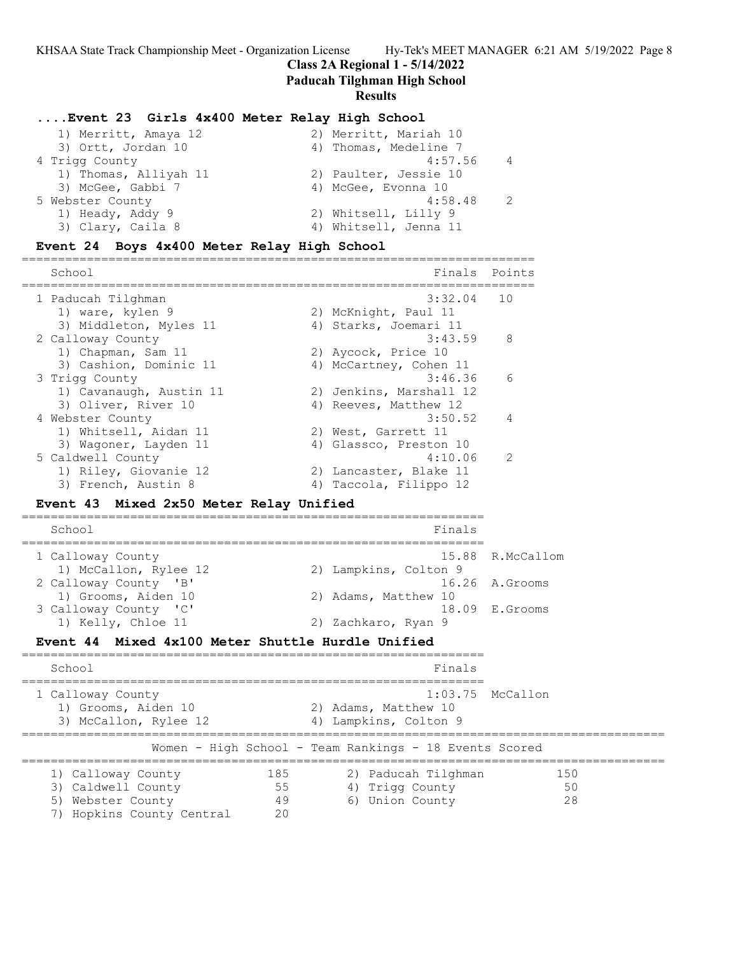## **Class 2A Regional 1 - 5/14/2022**

**Paducah Tilghman High School**

#### **Results**

## **....Event 23 Girls 4x400 Meter Relay High School**

| 2) Merritt, Mariah 10 |
|-----------------------|
| 4) Thomas, Medeline 7 |
| 4:57.56               |
| 2) Paulter, Jessie 10 |
| 4) McGee, Evonna 10   |
| 4:58.48               |
| 2) Whitsell, Lilly 9  |
| 4) Whitsell, Jenna 11 |
|                       |

# **Event 24 Boys 4x400 Meter Relay High School**

======================================================================= School **Finals** Points **Points** Points **Points** Points **Points** Points **Points** Points **Points Points Points Points Points Points Points Points Points Points Points Points Points Points Points** ======================================================================= 1 Paducah Tilghman 3:32.04 10 1) ware, kylen 9 120 2) McKnight, Paul 11 3) Middleton, Myles 11 (4) Starks, Joemari 11 2 Calloway County 3:43.59 8 1) Chapman, Sam 11 2) Aycock, Price 10 3) Cashion, Dominic 11 4) McCartney, Cohen 11 3 Trigg County 3:46.36 6 1) Cavanaugh, Austin 11 2) Jenkins, Marshall 12 3) Oliver, River 10 4) Reeves, Matthew 12 4 Webster County 2:50.52 4 1) Whitsell, Aidan 11 2) West, Garrett 11 3) Wagoner, Layden 11 4) Glassco, Preston 10 5 Caldwell County 4:10.06 2 1) Riley, Giovanie 12 2) Lancaster, Blake 11 3) French, Austin 8 4) Taccola, Filippo 12 **Event 43 Mixed 2x50 Meter Relay Unified** ================================================================ School **Finals** ================================================================ 1 Calloway County 15.88 R.McCallom 1) McCallon, Rylee 12 2) Lampkins, Colton 9 2 Calloway County 'B' 16.26 A.Grooms anioway Councy B.<br>1) Grooms, Aiden 10 2) Adams, Matthew 10<br>2) Adams, Matthew 10 2, 200 8.Grooms 20 3 Calloway County 'C'<br>1) Kelly, Chloe 11

## **Event 44 Mixed 4x100 Meter Shuttle Hurdle Unified**

| School                                                                                                              | Finals                                                                        |  |
|---------------------------------------------------------------------------------------------------------------------|-------------------------------------------------------------------------------|--|
| 1 Calloway County<br>1) Grooms, Aiden 10<br>3) McCallon, Rylee 12                                                   | $1:03.75$ McCallon<br>2) Adams, Matthew 10<br>4) Lampkins, Colton 9           |  |
|                                                                                                                     | Women - High School - Team Rankings - 18 Events Scored                        |  |
| 1) Calloway County<br>185<br>3) Caldwell County<br>55<br>49<br>5) Webster County<br>7) Hopkins County Central<br>20 | 2) Paducah Tilghman<br>1.50<br>4) Trigg County<br>50<br>6) Union County<br>28 |  |

2) Zachkaro, Ryan 9